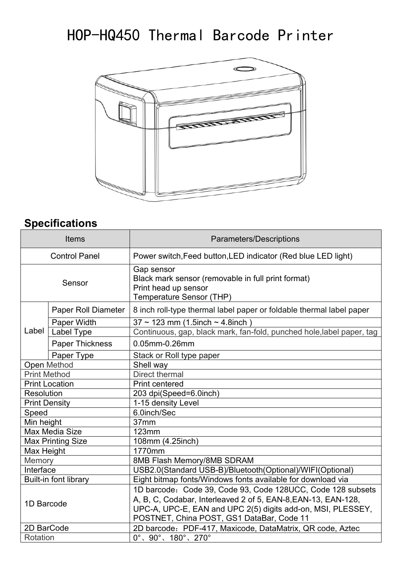## HOP-HQ450 Thermal Barcode Printer



## **Specifications**

|                      | <b>Items</b>                 | <b>Parameters/Descriptions</b>                                                                                                                                                                                                           |
|----------------------|------------------------------|------------------------------------------------------------------------------------------------------------------------------------------------------------------------------------------------------------------------------------------|
|                      | <b>Control Panel</b>         | Power switch, Feed button, LED indicator (Red blue LED light)                                                                                                                                                                            |
|                      | Sensor                       | Gap sensor<br>Black mark sensor (removable in full print format)<br>Print head up sensor<br><b>Temperature Sensor (THP)</b>                                                                                                              |
|                      | Paper Roll Diameter          | 8 inch roll-type thermal label paper or foldable thermal label paper                                                                                                                                                                     |
| Label                | Paper Width                  | $37 \sim 123$ mm (1.5inch $\sim 4.8$ inch)                                                                                                                                                                                               |
|                      | Label Type                   | Continuous, gap, black mark, fan-fold, punched hole, label paper, tag                                                                                                                                                                    |
|                      | <b>Paper Thickness</b>       | 0.05mm-0.26mm                                                                                                                                                                                                                            |
|                      | Paper Type                   | Stack or Roll type paper                                                                                                                                                                                                                 |
|                      | <b>Open Method</b>           | Shell way                                                                                                                                                                                                                                |
| <b>Print Method</b>  |                              | Direct thermal                                                                                                                                                                                                                           |
|                      | <b>Print Location</b>        | <b>Print centered</b>                                                                                                                                                                                                                    |
| <b>Resolution</b>    |                              | 203 dpi(Speed=6.0inch)                                                                                                                                                                                                                   |
| <b>Print Density</b> |                              | 1-15 density Level                                                                                                                                                                                                                       |
| Speed                |                              | 6.0inch/Sec                                                                                                                                                                                                                              |
| Min height           |                              | 37mm                                                                                                                                                                                                                                     |
|                      | <b>Max Media Size</b>        | 123mm                                                                                                                                                                                                                                    |
|                      | <b>Max Printing Size</b>     | 108mm (4.25inch)                                                                                                                                                                                                                         |
| Max Height           |                              | 1770mm                                                                                                                                                                                                                                   |
| Memory               |                              | 8MB Flash Memory/8MB SDRAM                                                                                                                                                                                                               |
| Interface            |                              | USB2.0(Standard USB-B)/Bluetooth(Optional)/WIFI(Optional)                                                                                                                                                                                |
|                      | <b>Built-in font library</b> | Eight bitmap fonts/Windows fonts available for download via                                                                                                                                                                              |
| 1D Barcode           |                              | 1D barcode: Code 39, Code 93, Code 128UCC, Code 128 subsets<br>A, B, C, Codabar, Interleaved 2 of 5, EAN-8, EAN-13, EAN-128,<br>UPC-A, UPC-E, EAN and UPC 2(5) digits add-on, MSI, PLESSEY,<br>POSTNET, China POST, GS1 DataBar, Code 11 |
| 2D BarCode           |                              | 2D barcode: PDF-417, Maxicode, DataMatrix, QR code, Aztec                                                                                                                                                                                |
| Rotation             |                              | $0^{\circ}$ , $90^{\circ}$ , $180^{\circ}$ , $270^{\circ}$                                                                                                                                                                               |
|                      |                              |                                                                                                                                                                                                                                          |